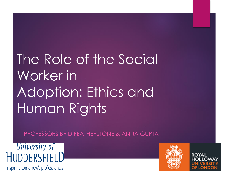# The Role of the Social Worker in Adoption: Ethics and Human Rights

PROFESSORS BRID FEATHERSTONE & ANNA GUPTA



Inspiring tomorrow's professionals

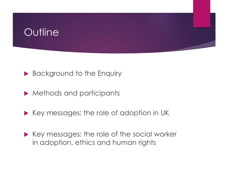# **Outline**



- ▶ Methods and participants
- $\blacktriangleright$  Key messages: the role of adoption in UK
- $\blacktriangleright$  Key messages: the role of the social worker in adoption, ethics and human rights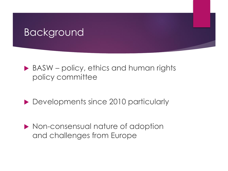#### Background

- ▶ BASW policy, ethics and human rights policy committee
- Developments since 2010 particularly
- ▶ Non-consensual nature of adoption and challenges from Europe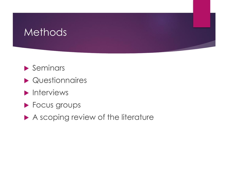#### **Methods**

- $\blacktriangleright$  Seminars
- Questionnaires
- $\blacktriangleright$  Interviews
- **Focus groups**
- A scoping review of the literature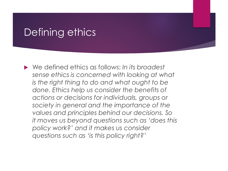#### Defining ethics

 We defined ethics as follows: *In its broadest sense ethics is concerned with looking at what is the right thing to do and what ought to be done. Ethics help us consider the benefits of actions or decisions for individuals, groups or society in general and the importance of the values and principles behind our decisions. So it moves us beyond questions such as 'does this policy work?' and it makes us consider questions such as 'is this policy right?'*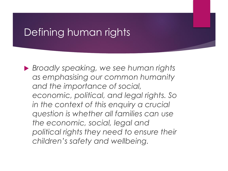# Defining human rights

 *Broadly speaking, we see human rights as emphasising our common humanity and the importance of social, economic, political, and legal rights. So in the context of this enquiry a crucial question is whether all families can use the economic, social, legal and political rights they need to ensure their children's safety and wellbeing.*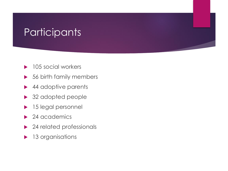# **Participants**

- 105 social workers
- 56 birth family members
- 44 adoptive parents
- ▶ 32 adopted people
- 15 legal personnel
- ▶ 24 academics
- ▶ 24 related professionals
- **13 organisations**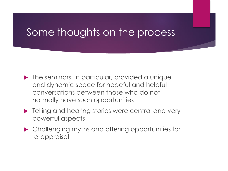#### Some thoughts on the process

- $\blacktriangleright$  The seminars, in particular, provided a unique and dynamic space for hopeful and helpful conversations between those who do not normally have such opportunities
- **Fig. 3** Telling and hearing stories were central and very powerful aspects
- Challenging myths and offering opportunities for re-appraisal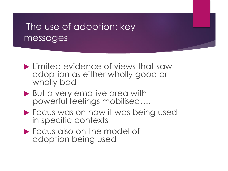#### The use of adoption: key messages

- **Limited evidence of views that saw** adoption as either wholly good or wholly bad
- ▶ But a very emotive area with powerful feelings mobilised….
- **Focus was on how it was being used** in specific contexts
- **Focus also on the model of** adoption being used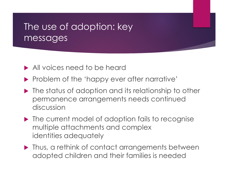#### The use of adoption: key messages

- All voices need to be heard
- Problem of the 'happy ever after narrative'
- $\blacktriangleright$  The status of adoption and its relationship to other permanence arrangements needs continued discussion
- $\blacktriangleright$  The current model of adoption fails to recognise multiple attachments and complex identities adequately
- **Thus, a rethink of contact arrangements between** adopted children and their families is needed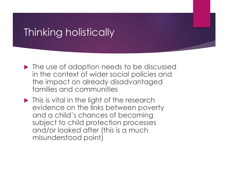# Thinking holistically

- ▶ The use of adoption needs to be discussed in the context of wider social policies and the impact on already disadvantaged families and communities
- Inis is vital in the light of the research evidence on the links between poverty and a child's chances of becoming subject to child protection processes and/or looked after (this is a much misunderstood point)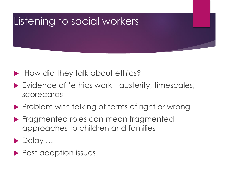# Listening to social workers

- How did they talk about ethics?
- ▶ Evidence of 'ethics work'- austerity, timescales, scorecards
- **Problem with talking of terms of right or wrong**
- **Fragmented roles can mean fragmented** approaches to children and families
- ▶ Delay ...
- ▶ Post adoption issues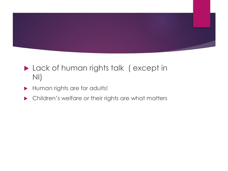

- **Lack of human rights talk (except in** NI)
- Human rights are for adults!
- **In Article Children's welfare or their rights are what matters**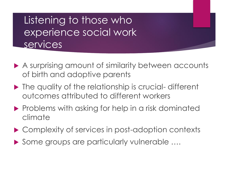# Listening to those who experience social work **services**

- A surprising amount of similarity between accounts of birth and adoptive parents
- ▶ The quality of the relationship is crucial-different outcomes attributed to different workers
- $\blacktriangleright$  Problems with asking for help in a risk dominated climate
- ▶ Complexity of services in post-adoption contexts
- ▶ Some groups are particularly vulnerable ....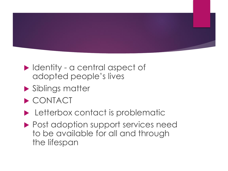

- ▶ Identity a central aspect of adopted people's lives
- Siblings matter
- ▶ CONTACT
- **Letterbox contact is problematic**
- ▶ Post adoption support services need to be available for all and through the lifespan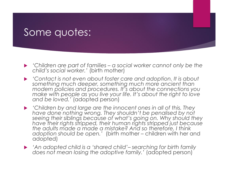#### Some quotes:

- *'Children are part of families – a social worker cannot only be the child's social worker.'* (birth mother)
- *'Contact is not even about foster care and adoption. It is about something much deeper, something much more ancient than modern policies and procedures. It's about the connections you make with people as you live your life. It's about the right to love and be loved.'* (adopted person)
- *'Children by and large are the innocent ones in all of this. They have done nothing wrong. They shouldn't be penalised by not seeing their siblings because of what's going on. Why should they have their rights stripped, their human rights stripped just because the adults made a made a mistake? And so therefore, I think adoption should be open.'* (birth mother – children with her and adopted)
- *'An adopted child is a 'shared child'– searching for birth family does not mean losing the adoptive family.'* (adopted person)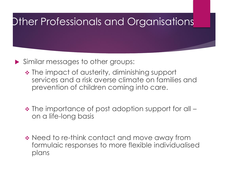# Other Professionals and Organisations

- Similar messages to other groups:
	- ❖ The impact of austerity, diminishing support services and a risk averse climate on families and prevention of children coming into care.
	- ❖ The importance of post adoption support for all on a life-long basis
	- ❖ Need to re-think contact and move away from formulaic responses to more flexible individualised plans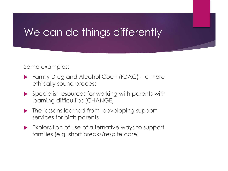## We can do things differently

Some examples:

- ▶ Family Drug and Alcohol Court (FDAC) a more ethically sound process
- **Specialist resources for working with parents with** learning difficulties (CHANGE)
- The lessons learned from developing support services for birth parents
- Exploration of use of alternative ways to support families (e.g. short breaks/respite care)